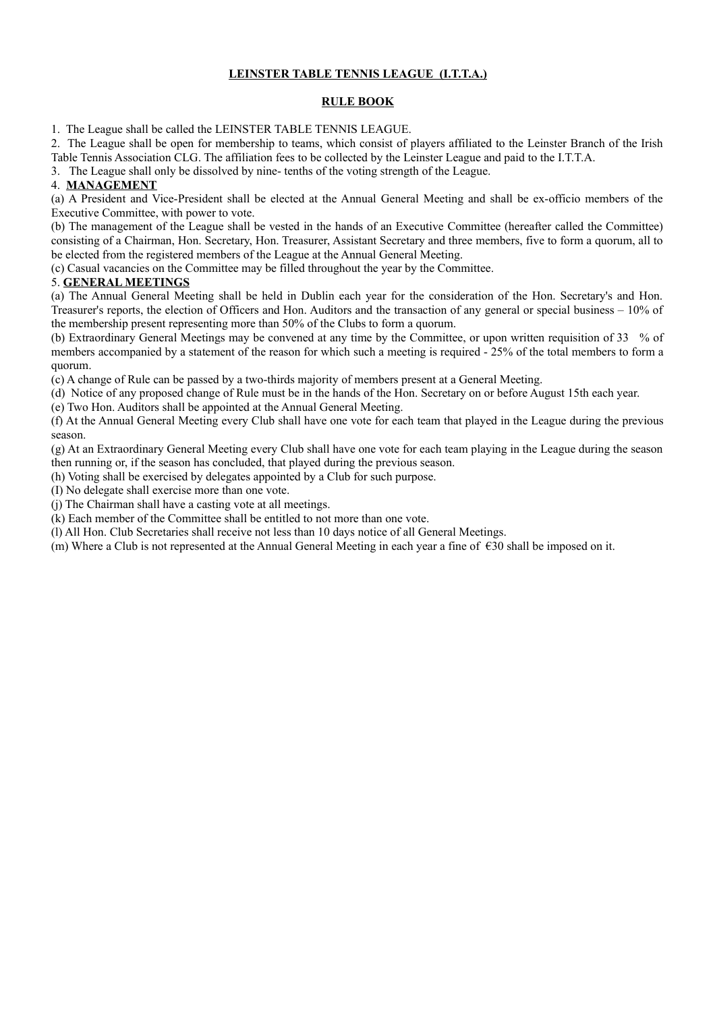# **LEINSTER TABLE TENNIS LEAGUE (I.T.T.A.)**

### **RULE BOOK**

1. The League shall be called the LEINSTER TABLE TENNIS LEAGUE.

2. The League shall be open for membership to teams, which consist of players affiliated to the Leinster Branch of the Irish Table Tennis Association CLG. The affiliation fees to be collected by the Leinster League and paid to the I.T.T.A.

3. The League shall only be dissolved by nine- tenths of the voting strength of the League.

# 4. **MANAGEMENT**

(a) A President and Vice-President shall be elected at the Annual General Meeting and shall be ex-officio members of the Executive Committee, with power to vote.

(b) The management of the League shall be vested in the hands of an Executive Committee (hereafter called the Committee) consisting of a Chairman, Hon. Secretary, Hon. Treasurer, Assistant Secretary and three members, five to form a quorum, all to be elected from the registered members of the League at the Annual General Meeting.

(c) Casual vacancies on the Committee may be filled throughout the year by the Committee.

# 5. **GENERAL MEETINGS**

(a) The Annual General Meeting shall be held in Dublin each year for the consideration of the Hon. Secretary's and Hon. Treasurer's reports, the election of Officers and Hon. Auditors and the transaction of any general or special business – 10% of the membership present representing more than 50% of the Clubs to form a quorum.

(b) Extraordinary General Meetings may be convened at any time by the Committee, or upon written requisition of 33 % of members accompanied by a statement of the reason for which such a meeting is required - 25% of the total members to form a quorum.

(c) A change of Rule can be passed by a two-thirds majority of members present at a General Meeting.

(d) Notice of any proposed change of Rule must be in the hands of the Hon. Secretary on or before August 15th each year.

(e) Two Hon. Auditors shall be appointed at the Annual General Meeting.

(f) At the Annual General Meeting every Club shall have one vote for each team that played in the League during the previous season.

(g) At an Extraordinary General Meeting every Club shall have one vote for each team playing in the League during the season then running or, if the season has concluded, that played during the previous season.

(h) Voting shall be exercised by delegates appointed by a Club for such purpose.

(I) No delegate shall exercise more than one vote.

(j) The Chairman shall have a casting vote at all meetings.

(k) Each member of the Committee shall be entitled to not more than one vote.

(l) All Hon. Club Secretaries shall receive not less than 10 days notice of all General Meetings.

(m) Where a Club is not represented at the Annual General Meeting in each year a fine of  $\epsilon$ 30 shall be imposed on it.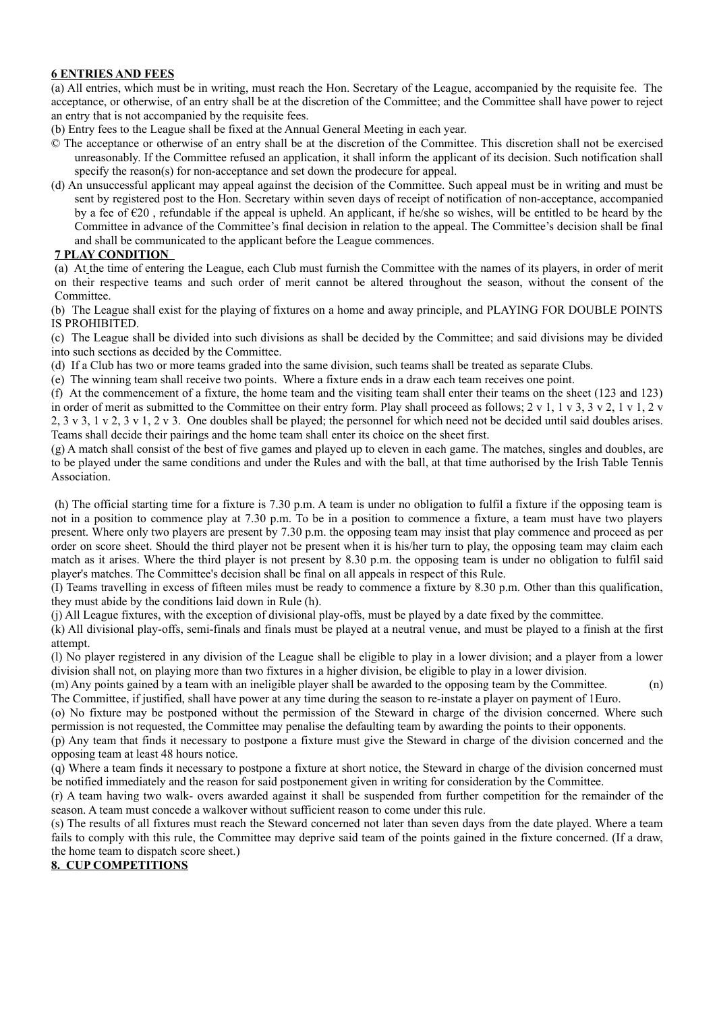### **6 ENTRIES AND FEES**

(a) All entries, which must be in writing, must reach the Hon. Secretary of the League, accompanied by the requisite fee. The acceptance, or otherwise, of an entry shall be at the discretion of the Committee; and the Committee shall have power to reject an entry that is not accompanied by the requisite fees.

- (b) Entry fees to the League shall be fixed at the Annual General Meeting in each year.
- © The acceptance or otherwise of an entry shall be at the discretion of the Committee. This discretion shall not be exercised unreasonably. If the Committee refused an application, it shall inform the applicant of its decision. Such notification shall specify the reason(s) for non-acceptance and set down the prodecure for appeal.
- (d) An unsuccessful applicant may appeal against the decision of the Committee. Such appeal must be in writing and must be sent by registered post to the Hon. Secretary within seven days of receipt of notification of non-acceptance, accompanied by a fee of  $\epsilon$ 20, refundable if the appeal is upheld. An applicant, if he/she so wishes, will be entitled to be heard by the Committee in advance of the Committee's final decision in relation to the appeal. The Committee's decision shall be final and shall be communicated to the applicant before the League commences.

### **7 PLAY CONDITION**

(a) At the time of entering the League, each Club must furnish the Committee with the names of its players, in order of merit on their respective teams and such order of merit cannot be altered throughout the season, without the consent of the Committee.

(b) The League shall exist for the playing of fixtures on a home and away principle, and PLAYING FOR DOUBLE POINTS IS PROHIBITED.

(c) The League shall be divided into such divisions as shall be decided by the Committee; and said divisions may be divided into such sections as decided by the Committee.

(d) If a Club has two or more teams graded into the same division, such teams shall be treated as separate Clubs.

(e) The winning team shall receive two points. Where a fixture ends in a draw each team receives one point.

(f) At the commencement of a fixture, the home team and the visiting team shall enter their teams on the sheet (123 and 123) in order of merit as submitted to the Committee on their entry form. Play shall proceed as follows; 2 v 1, 1 v 3, 3 v 2, 1 v 1, 2 v 2, 3 v 3, 1 v 2, 3 v 1, 2 v 3. One doubles shall be played; the personnel for which need not be decided until said doubles arises. Teams shall decide their pairings and the home team shall enter its choice on the sheet first.

(g) A match shall consist of the best of five games and played up to eleven in each game. The matches, singles and doubles, are to be played under the same conditions and under the Rules and with the ball, at that time authorised by the Irish Table Tennis Association.

 (h) The official starting time for a fixture is 7.30 p.m. A team is under no obligation to fulfil a fixture if the opposing team is not in a position to commence play at 7.30 p.m. To be in a position to commence a fixture, a team must have two players present. Where only two players are present by 7.30 p.m. the opposing team may insist that play commence and proceed as per order on score sheet. Should the third player not be present when it is his/her turn to play, the opposing team may claim each match as it arises. Where the third player is not present by 8.30 p.m. the opposing team is under no obligation to fulfil said player's matches. The Committee's decision shall be final on all appeals in respect of this Rule.

(I) Teams travelling in excess of fifteen miles must be ready to commence a fixture by 8.30 p.m. Other than this qualification, they must abide by the conditions laid down in Rule (h).

(j) All League fixtures, with the exception of divisional play-offs, must be played by a date fixed by the committee.

(k) All divisional play-offs, semi-finals and finals must be played at a neutral venue, and must be played to a finish at the first attempt.

(l) No player registered in any division of the League shall be eligible to play in a lower division; and a player from a lower division shall not, on playing more than two fixtures in a higher division, be eligible to play in a lower division.

(m) Any points gained by a team with an ineligible player shall be awarded to the opposing team by the Committee. (n) The Committee, if justified, shall have power at any time during the season to re-instate a player on payment of 1Euro.

(o) No fixture may be postponed without the permission of the Steward in charge of the division concerned. Where such permission is not requested, the Committee may penalise the defaulting team by awarding the points to their opponents.

(p) Any team that finds it necessary to postpone a fixture must give the Steward in charge of the division concerned and the opposing team at least 48 hours notice.

(q) Where a team finds it necessary to postpone a fixture at short notice, the Steward in charge of the division concerned must be notified immediately and the reason for said postponement given in writing for consideration by the Committee.

(r) A team having two walk- overs awarded against it shall be suspended from further competition for the remainder of the season. A team must concede a walkover without sufficient reason to come under this rule.

(s) The results of all fixtures must reach the Steward concerned not later than seven days from the date played. Where a team fails to comply with this rule, the Committee may deprive said team of the points gained in the fixture concerned. (If a draw, the home team to dispatch score sheet.)

#### **8. CUP COMPETITIONS**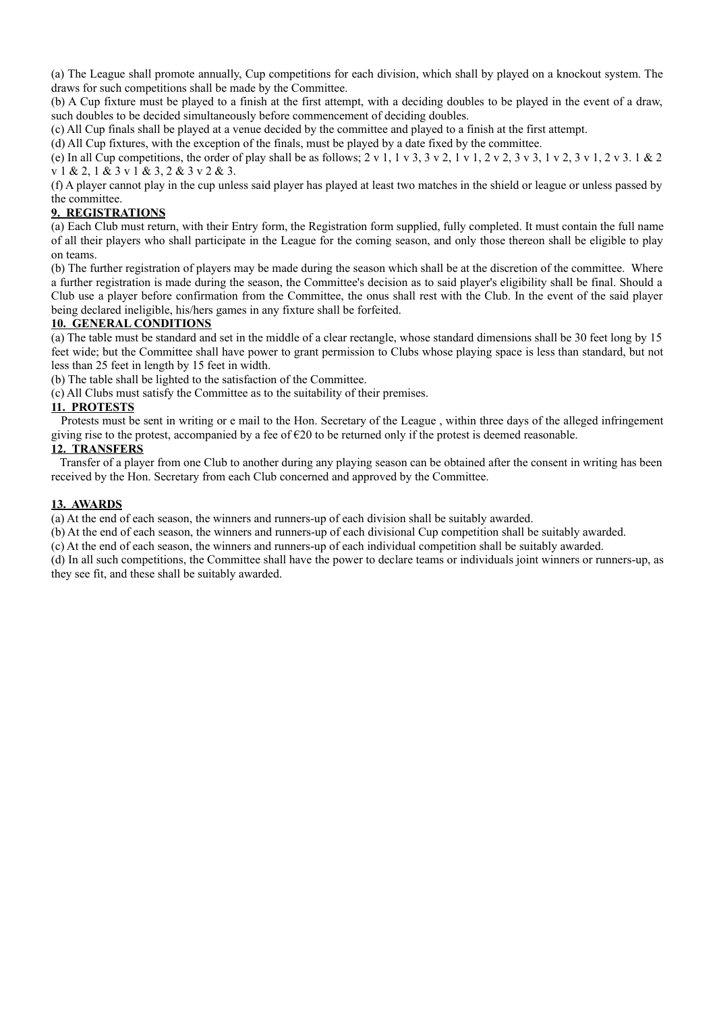(a) The League shall promote annually, Cup competitions for each division, which shall by played on a knockout system. The draws for such competitions shall be made by the Committee.

(b) A Cup fixture must be played to a finish at the first attempt, with a deciding doubles to be played in the event of a draw, such doubles to be decided simultaneously before commencement of deciding doubles.

(c) All Cup finals shall be played at a venue decided by the committee and played to a finish at the first attempt.

(d) All Cup fixtures, with the exception of the finals, must be played by a date fixed by the committee.

(e) In all Cup competitions, the order of play shall be as follows;  $2 \times 1$ ,  $1 \times 3$ ,  $3 \times 2$ ,  $1 \times 1$ ,  $2 \times 2$ ,  $3 \times 3$ ,  $1 \times 2$ ,  $3 \times 1$ ,  $2 \times 3$ .  $1 \& 2$ v 1 & 2, 1 & 3 v 1 & 3, 2 & 3 v 2 & 3.

(f) A player cannot play in the cup unless said player has played at least two matches in the shield or league or unless passed by the committee.

### **9. REGISTRATIONS**

(a) Each Club must return, with their Entry form, the Registration form supplied, fully completed. It must contain the full name of all their players who shall participate in the League for the coming season, and only those thereon shall be eligible to play on teams.

(b) The further registration of players may be made during the season which shall be at the discretion of the committee. Where a further registration is made during the season, the Committee's decision as to said player's eligibility shall be final. Should a Club use a player before confirmation from the Committee, the onus shall rest with the Club. In the event of the said player being declared ineligible, his/hers games in any fixture shall be forfeited.

### **10. GENERAL CONDITIONS**

(a) The table must be standard and set in the middle of a clear rectangle, whose standard dimensions shall be 30 feet long by 15 feet wide; but the Committee shall have power to grant permission to Clubs whose playing space is less than standard, but not less than 25 feet in length by 15 feet in width.

(b) The table shall be lighted to the satisfaction of the Committee.

(c) All Clubs must satisfy the Committee as to the suitability of their premises.

### **11. PROTESTS**

 Protests must be sent in writing or e mail to the Hon. Secretary of the League , within three days of the alleged infringement giving rise to the protest, accompanied by a fee of  $\epsilon$ 20 to be returned only if the protest is deemed reasonable.

### **12. TRANSFERS**

 Transfer of a player from one Club to another during any playing season can be obtained after the consent in writing has been received by the Hon. Secretary from each Club concerned and approved by the Committee.

### **13. AWARDS**

(a) At the end of each season, the winners and runners-up of each division shall be suitably awarded.

(b) At the end of each season, the winners and runners-up of each divisional Cup competition shall be suitably awarded.

(c) At the end of each season, the winners and runners-up of each individual competition shall be suitably awarded.

(d) In all such competitions, the Committee shall have the power to declare teams or individuals joint winners or runners-up, as they see fit, and these shall be suitably awarded.